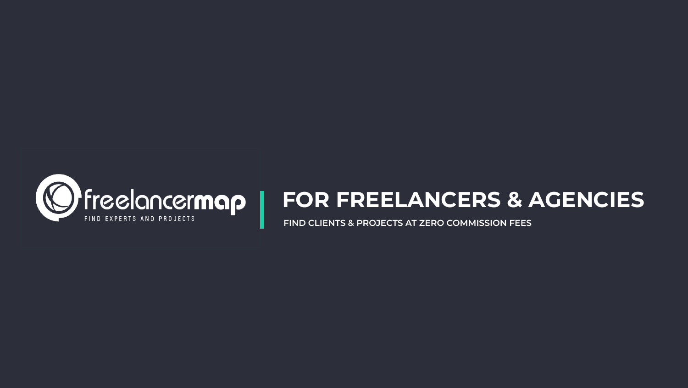

# **FOR FREELANCERS & AGENCIES**

**FIND CLIENTS & PROJECTS AT ZERO COMMISSION FEES**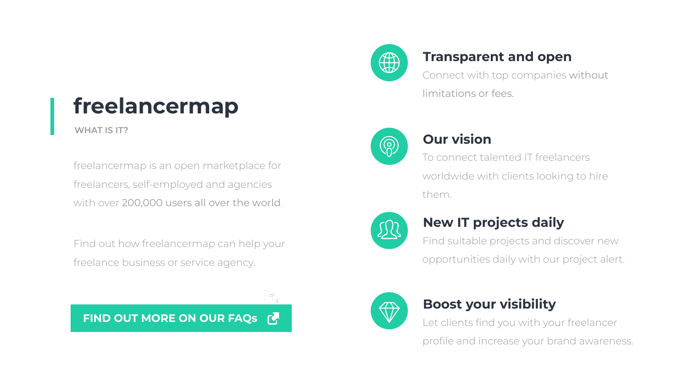# **freelancermap**

#### **WHAT IS IT?**

freelancermap is an open marketplace for freelancers, self-employed and agencies with over 200,000 users all over the world.

Find out how freelancermap can help your freelance business or service agency.



**FIND OUT MORE ON OUR FAQS &** 



Connect with top companies without limitations or fees.



## **Transparent and open**

To connect talented IT freelancers worldwide with clients looking to hire them.



## **Our vision**

Find suitable projects and discover new opportunities daily with our project alert.



## **New IT projects daily**

Let clients find you with your freelancer profile and increase your brand awareness.

## **Boost your visibility**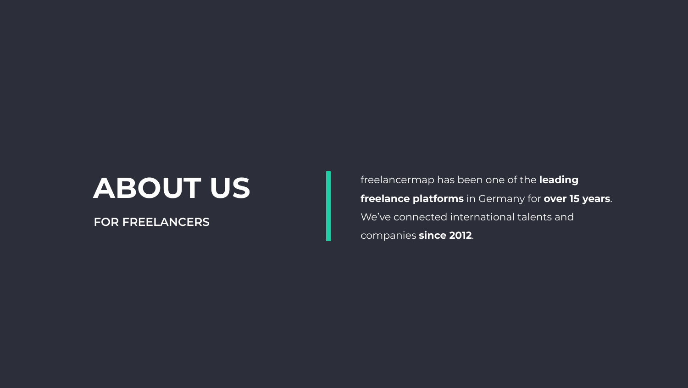freelancermap has been one of the **leading freelance platforms** in Germany for **over 15 years**. We've connected international talents and companies **since 2012**.

# **ABOUT US FOR FREELANCERS**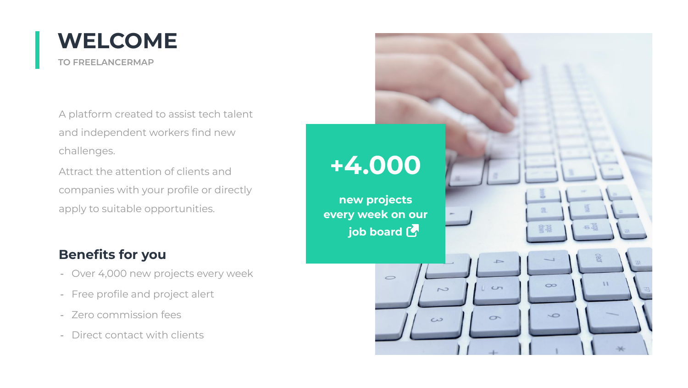A platform created to assist tech talent and independent workers find new challenges.

Attract the attention of clients and companies with your profile or directly apply to suitable opportunities.

- Over 4,000 new projects every week
- Free profile and project alert
- Zero commission fees
- Direct contact with clients

#### **Benefits for you**



# **+[4.000](https://www.freelancermap.com/it-projects.html?utm_source=info-ptt&utm_campaign=freelance-info-ppt&utm_content=job-board)**

**new projects every week on our job board** 

 $\circ$ 



 $5<sub>5</sub>$ 

 $\infty$ 

 $\sim$ 

 $C$ 

 $\sigma$ 

 $\sim$ 

 $\omega$ 

 $\mathcal{U}$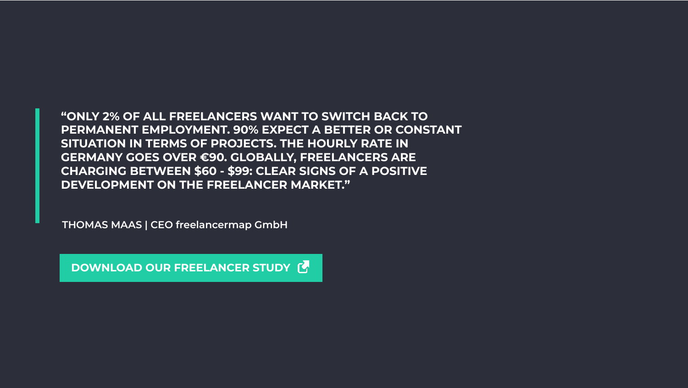**"ONLY 2% OF ALL FREELANCERS WANT TO SWITCH BACK TO PERMANENT EMPLOYMENT. 90% EXPECT A BETTER OR CONSTANT SITUATION IN TERMS OF PROJECTS. THE HOURLY RATE IN GERMANY GOES OVER €90. GLOBALLY, FREELANCERS ARE CHARGING BETWEEN \$60 - \$99: CLEAR SIGNS OF A POSITIVE DEVELOPMENT ON THE FREELANCER MARKET."**

**THOMAS MAAS | CEO freelancermap GmbH**

 **[DOWNLOAD OUR FREELANCER STUDY](https://www.freelancermap.com/market-study?utm_source=info-ptt&utm_campaign=freelance-info-ppt&utm_content=study)**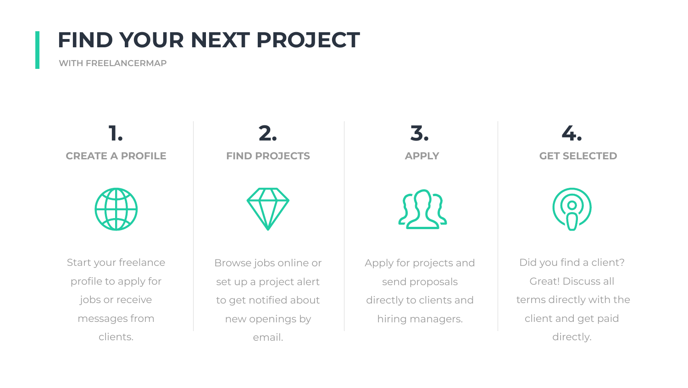**CREATE A PROFILE**



Start your freelance profile to apply for jobs or receive messages from clients.

Browse jobs online or set up a project alert to get notified about new openings by email.

Apply for projects and send proposals directly to clients and hiring managers.

**FIND PROJECTS APPLY GET SELECTED 1. 2. 3. 4.**



Did you find a client? Great! Discuss all terms directly with the client and get paid directly.

# **FIND YOUR NEXT PROJECT**

#### **WITH FREELANCERMAP**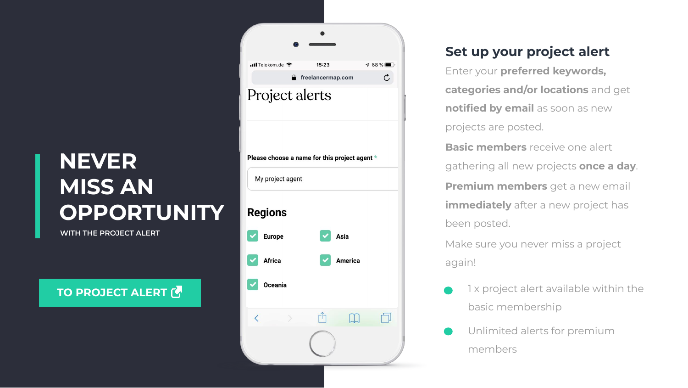- 1 x project alert available within the basic membership
- Unlimited alerts for premium members

### **Set up your project alert**

Enter your **preferred keywords, categories and/or locations** and get **notified by email** as soon as new projects are posted.

**Basic members** receive one alert gathering all new projects **once a day**. **Premium members** get a new email **immediately** after a new project has been posted.

Make sure you never miss a project again!

# **NEVER MISS AN OPPORTUNITY**

**WITH THE PROJECT ALERT** 

#### **TO PROJECT ALERT CO**

| $\blacksquare$ Telekom.de $\widehat{\mathcal{F}}$ | 15:23                                         | $\frac{1}{68\%}$ |
|---------------------------------------------------|-----------------------------------------------|------------------|
| €.                                                | freelancermap.com                             | Ċ,               |
|                                                   | Project alerts                                |                  |
|                                                   |                                               |                  |
|                                                   |                                               |                  |
|                                                   |                                               |                  |
|                                                   | Please choose a name for this project agent * |                  |
|                                                   |                                               |                  |
|                                                   |                                               |                  |
| My project agent                                  |                                               |                  |
|                                                   |                                               |                  |
| <b>Regions</b>                                    |                                               |                  |
|                                                   |                                               |                  |
| <b>Europe</b>                                     | Asia                                          |                  |
|                                                   |                                               |                  |
| <b>Africa</b>                                     | <b>America</b>                                |                  |
| <b>Oceania</b>                                    |                                               |                  |
|                                                   |                                               |                  |
|                                                   |                                               |                  |
|                                                   |                                               |                  |
|                                                   |                                               |                  |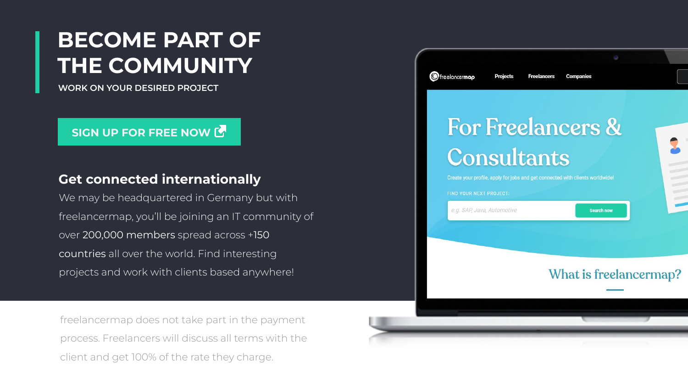We may be headquartered in Germany but with freelancermap, you'll be joining an IT community of over 200,000 members spread across +150 countries all over the world. Find interesting projects and work with clients based anywhere!

#### **Get connected internationally**

freelancermap does not take part in the payment process. Freelancers will discuss all terms with the client and get 100% of the rate they charge.



# For Freelancers & Consultants

Create your profile, apply for jobs and get connected with clients worldwide!

FIND YOUR NEXT PROJECT:

e.g. SAP, Java, Automotive

**Search now** 

#### What is freelancermap?



# **BECOME PART OF THE COMMUNITY**

**WORK ON YOUR DESIRED PROJECT**

#### **[SIGN UP FOR FREE NOW](https://www.freelancermap.com/registration?utm_source=info-ptt&utm_campaign=freelance-info-ppt&utm_content=signup) C**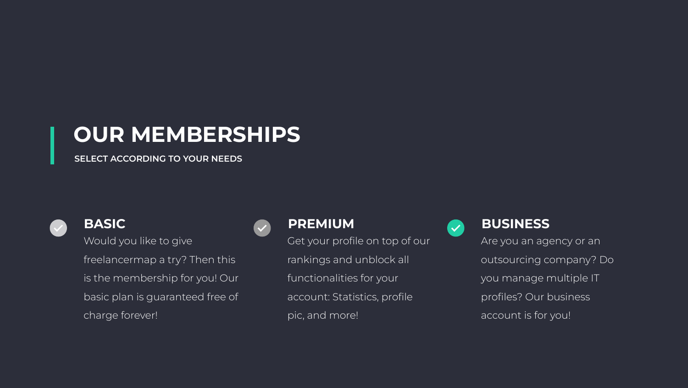# **OUR MEMBERSHIPS**

Would you like to give freelancermap a try? Then this is the membership for you! Our basic plan is guaranteed free of charge forever! **BASIC PREMIUM** 



#### **SELECT ACCORDING TO YOUR NEEDS**



Get your profile on top of our

rankings and unblock all

functionalities for your



account: Statistics, profile

pic, and more!

Are you an agency or an outsourcing company? Do you manage multiple IT profiles? Our business account is for you!

#### **BUSINESS**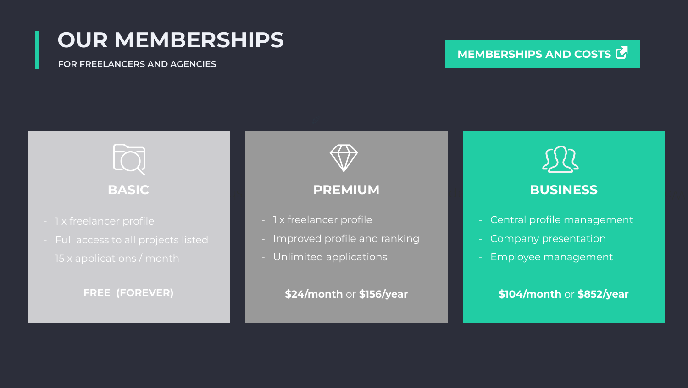# **OUR MEMBERSHIPS**

- 1 x freelancer profile
- Full access to all projects listed
- 15 x applications / month

#### **FOR FREELANCERS AND AGENCIES**

- Central profile management
- Company presentation
- Employee management

#### WOULD YOU LIKE TO GIVE FREE OF CHARGE TO GIVE THE THIS ISLANDS TO THE THIS ISLAND OF CHARGE FOR THE THIS ISLAND **BUSINESS**

- 1 x freelancer profile
- Improved profile and ranking
- Unlimited applications

**FREE (FOREVER)**



**\$104/month** or **\$852/year** 



**\$24/month** or **\$156/year** 

#### **[MEMBERSHIPS AND COSTS](https://www.freelancermap.com/prices.html?utm_source=info-ptt&utm_campaign=freelance-info-ppt&utm_content=prices) G**



#### **PREMIUM**

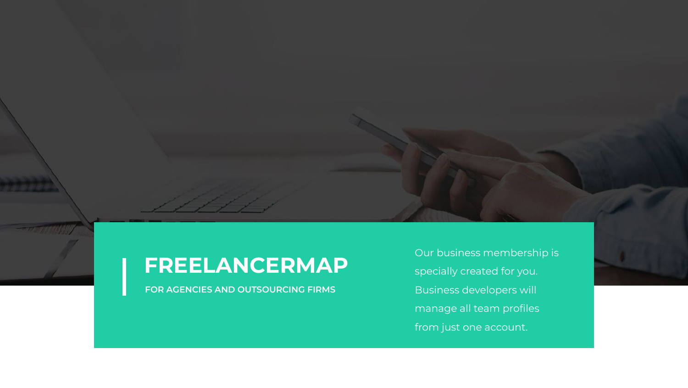Our business membership is specially created for you. Business developers will manage all team profiles from just one account.



# **FREELANCERMAP**

**FOR AGENCIES AND OUTSOURCING FIRMS**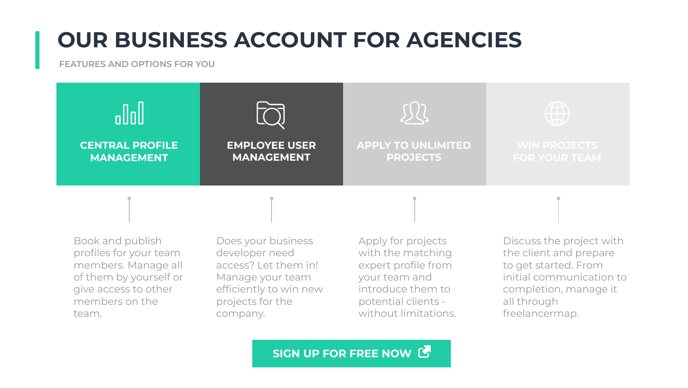# **OUR BUSINESS ACCOUNT FOR AGENCIES**

#### **FEATURES AND OPTIONS FOR YOU**

Book and publish profiles for your team members. Manage all of them by yourself or give access to other members on the team.

Does your business developer need access? Let them in! Manage your team efficiently to win new projects for the company.



Apply for projects with the matching expert profile from your team and introduce them to potential clients without limitations.

Discuss the project with the client and prepare to get started. From initial communication to completion, manage it all through freelancermap.

**SIGN UP FOR FREE NOW G** 



#### **APPLY TO UNLIMITED PROJECTS**